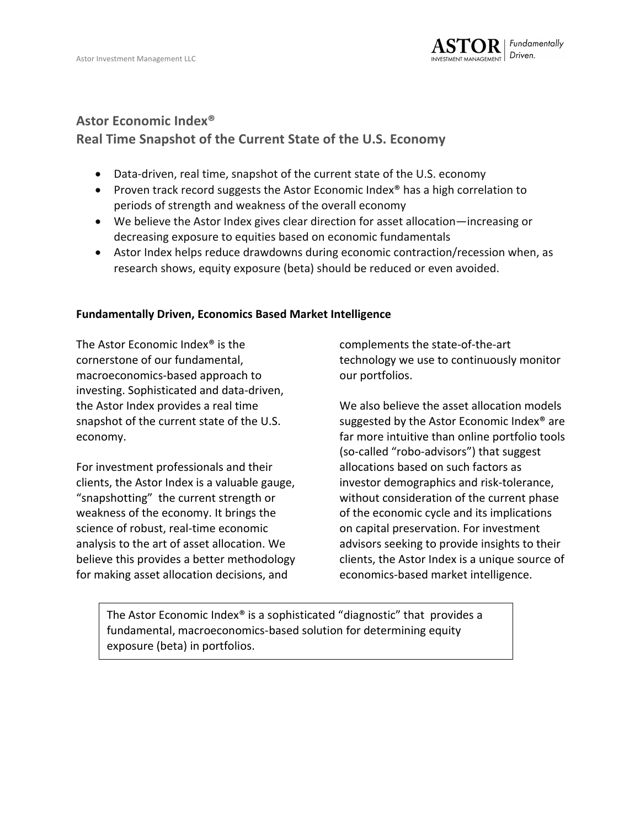

## **Astor Economic Index<sup>®</sup>**

# **Real Time Snapshot of the Current State of the U.S. Economy**

- Data-driven, real time, snapshot of the current state of the U.S. economy
- Proven track record suggests the Astor Economic Index<sup>®</sup> has a high correlation to periods of strength and weakness of the overall economy
- We believe the Astor Index gives clear direction for asset allocation—increasing or decreasing exposure to equities based on economic fundamentals
- Astor Index helps reduce drawdowns during economic contraction/recession when, as research shows, equity exposure (beta) should be reduced or even avoided.

### **Fundamentally Driven, Economics Based Market Intelligence**

The Astor Economic Index<sup>®</sup> is the cornerstone of our fundamental. macroeconomics-based approach to investing. Sophisticated and data-driven, the Astor Index provides a real time snapshot of the current state of the U.S. economy. 

For investment professionals and their clients, the Astor Index is a valuable gauge, "snapshotting" the current strength or weakness of the economy. It brings the science of robust, real-time economic analysis to the art of asset allocation. We believe this provides a better methodology for making asset allocation decisions, and

complements the state-of-the-art technology we use to continuously monitor our portfolios.

We also believe the asset allocation models suggested by the Astor Economic Index<sup>®</sup> are far more intuitive than online portfolio tools (so-called "robo-advisors") that suggest allocations based on such factors as investor demographics and risk-tolerance, without consideration of the current phase of the economic cycle and its implications on capital preservation. For investment advisors seeking to provide insights to their clients, the Astor Index is a unique source of economics-based market intelligence.

The Astor Economic Index® is a sophisticated "diagnostic" that provides a fundamental, macroeconomics-based solution for determining equity exposure (beta) in portfolios.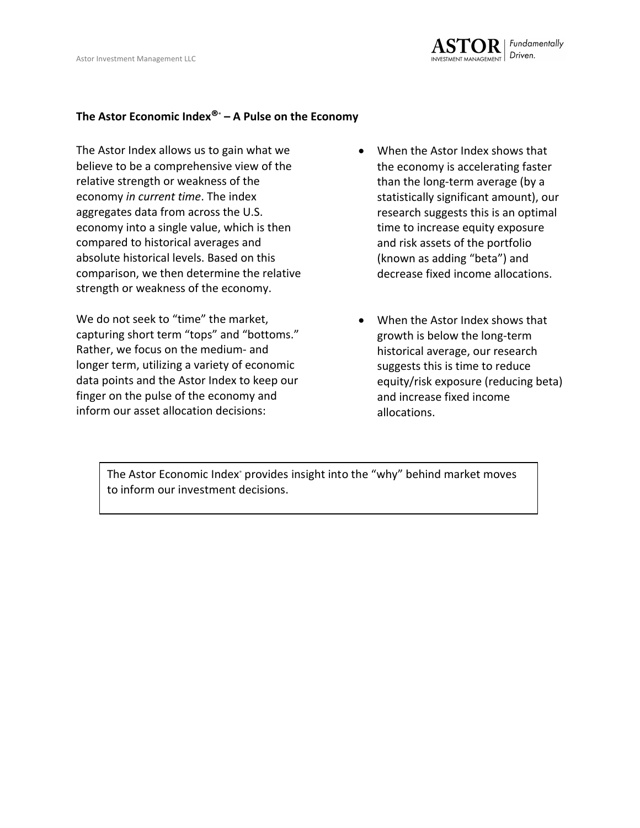#### The Astor Economic Index<sup>®</sup> – A Pulse on the Economy

The Astor Index allows us to gain what we believe to be a comprehensive view of the relative strength or weakness of the economy *in current time*. The index aggregates data from across the U.S. economy into a single value, which is then compared to historical averages and absolute historical levels. Based on this comparison, we then determine the relative strength or weakness of the economy.

We do not seek to "time" the market, capturing short term "tops" and "bottoms." Rather, we focus on the medium- and longer term, utilizing a variety of economic data points and the Astor Index to keep our finger on the pulse of the economy and inform our asset allocation decisions:

- When the Astor Index shows that the economy is accelerating faster than the long-term average (by a statistically significant amount), our research suggests this is an optimal time to increase equity exposure and risk assets of the portfolio (known as adding "beta") and decrease fixed income allocations.
- When the Astor Index shows that growth is below the long-term historical average, our research suggests this is time to reduce equity/risk exposure (reducing beta) and increase fixed income allocations.

The Astor Economic Index<sup>®</sup> provides insight into the "why" behind market moves to inform our investment decisions.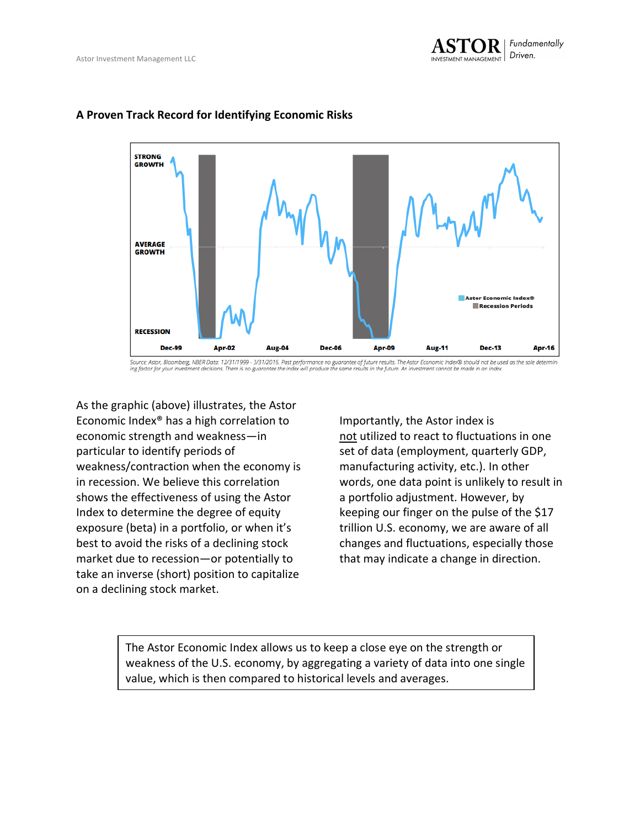

#### A Proven Track Record for Identifying Economic Risks

Source: Astor, Bloomberg, NBER Data: 12/31/1999 - 3/31/2016. Past performance no guarantee of future results. The Astor Economic Index® should not be used as the sole determin-<br>Ing factor for your investment decisions. The

As the graphic (above) illustrates, the Astor Economic Index<sup>®</sup> has a high correlation to economic strength and weakness-in particular to identify periods of weakness/contraction when the economy is in recession. We believe this correlation shows the effectiveness of using the Astor Index to determine the degree of equity exposure (beta) in a portfolio, or when it's best to avoid the risks of a declining stock market due to recession—or potentially to take an inverse (short) position to capitalize on a declining stock market.

Importantly, the Astor index is not utilized to react to fluctuations in one set of data (employment, quarterly GDP, manufacturing activity, etc.). In other words, one data point is unlikely to result in a portfolio adjustment. However, by keeping our finger on the pulse of the \$17 trillion U.S. economy, we are aware of all changes and fluctuations, especially those that may indicate a change in direction.

The Astor Economic Index allows us to keep a close eye on the strength or weakness of the U.S. economy, by aggregating a variety of data into one single value, which is then compared to historical levels and averages.